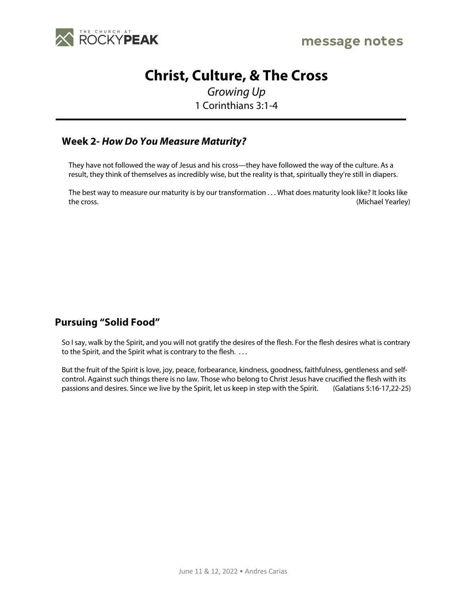

## **Christ, Culture, & The Cross**

*Growing Up* 1 Corinthians 3:1-4

## **Week 2-** *How Do You Measure Maturity?*

They have not followed the way of Jesus and his cross—they have followed the way of the culture. As a result, they think of themselves as incredibly wise, but the reality is that, spiritually they're still in diapers.

The best way to measure our maturity is by our transformation . . . What does maturity look like? It looks like the cross. (Michael Yearley)

## **Pursuing "Solid Food"**

So I say, walk by the Spirit, and you will not gratify the desires of the flesh. For the flesh desires what is contrary to the Spirit, and the Spirit what is contrary to the flesh. . . .

But the fruit of the Spirit is love, joy, peace, forbearance, kindness, goodness, faithfulness, gentleness and selfcontrol. Against such things there is no law. Those who belong to Christ Jesus have crucified the flesh with its passions and desires. Since we live by the Spirit, let us keep in step with the Spirit. (Galatians 5:16-17,22-25)